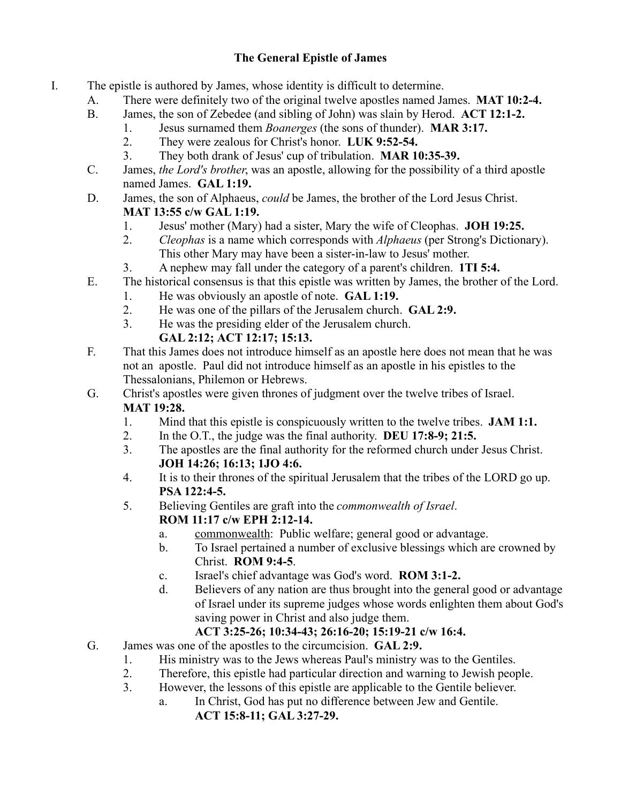## **The General Epistle of James**

- I. The epistle is authored by James, whose identity is difficult to determine.
	- A. There were definitely two of the original twelve apostles named James. **MAT 10:2-4.**
	- B. James, the son of Zebedee (and sibling of John) was slain by Herod. **ACT 12:1-2.**
		- 1. Jesus surnamed them *Boanerges* (the sons of thunder). **MAR 3:17.**
			- 2. They were zealous for Christ's honor. **LUK 9:52-54.**
			- 3. They both drank of Jesus' cup of tribulation. **MAR 10:35-39.**
	- C. James, *the Lord's brother*, was an apostle, allowing for the possibility of a third apostle named James. **GAL 1:19.**
	- D. James, the son of Alphaeus, *could* be James, the brother of the Lord Jesus Christ. **MAT 13:55 c/w GAL 1:19.**
		- 1. Jesus' mother (Mary) had a sister, Mary the wife of Cleophas. **JOH 19:25.**
		- 2. *Cleophas* is a name which corresponds with *Alphaeus* (per Strong's Dictionary). This other Mary may have been a sister-in-law to Jesus' mother.
		- 3. A nephew may fall under the category of a parent's children. **1TI 5:4.**
	- E. The historical consensus is that this epistle was written by James, the brother of the Lord.
		- 1. He was obviously an apostle of note. **GAL 1:19.**
		- 2. He was one of the pillars of the Jerusalem church. **GAL 2:9.**
		- 3. He was the presiding elder of the Jerusalem church.

## **GAL 2:12; ACT 12:17; 15:13.**

- F. That this James does not introduce himself as an apostle here does not mean that he was not an apostle. Paul did not introduce himself as an apostle in his epistles to the Thessalonians, Philemon or Hebrews.
- G. Christ's apostles were given thrones of judgment over the twelve tribes of Israel. **MAT 19:28.**
	- 1. Mind that this epistle is conspicuously written to the twelve tribes. **JAM 1:1.**
	- 2. In the O.T., the judge was the final authority. **DEU 17:8-9; 21:5.**
	- 3. The apostles are the final authority for the reformed church under Jesus Christ. **JOH 14:26; 16:13; 1JO 4:6.**
	- 4. It is to their thrones of the spiritual Jerusalem that the tribes of the LORD go up. **PSA 122:4-5.**
	- 5. Believing Gentiles are graft into the *commonwealth of Israel*. **ROM 11:17 c/w EPH 2:12-14.**
		- a. commonwealth: Public welfare; general good or advantage.
		- b. To Israel pertained a number of exclusive blessings which are crowned by Christ. **ROM 9:4-5**.
		- c. Israel's chief advantage was God's word. **ROM 3:1-2.**
		- d. Believers of any nation are thus brought into the general good or advantage of Israel under its supreme judges whose words enlighten them about God's saving power in Christ and also judge them.

## **ACT 3:25-26; 10:34-43; 26:16-20; 15:19-21 c/w 16:4.**

- G. James was one of the apostles to the circumcision. **GAL 2:9.**
	- 1. His ministry was to the Jews whereas Paul's ministry was to the Gentiles.
	- 2. Therefore, this epistle had particular direction and warning to Jewish people.
	- 3. However, the lessons of this epistle are applicable to the Gentile believer.
		- a. In Christ, God has put no difference between Jew and Gentile. **ACT 15:8-11; GAL 3:27-29.**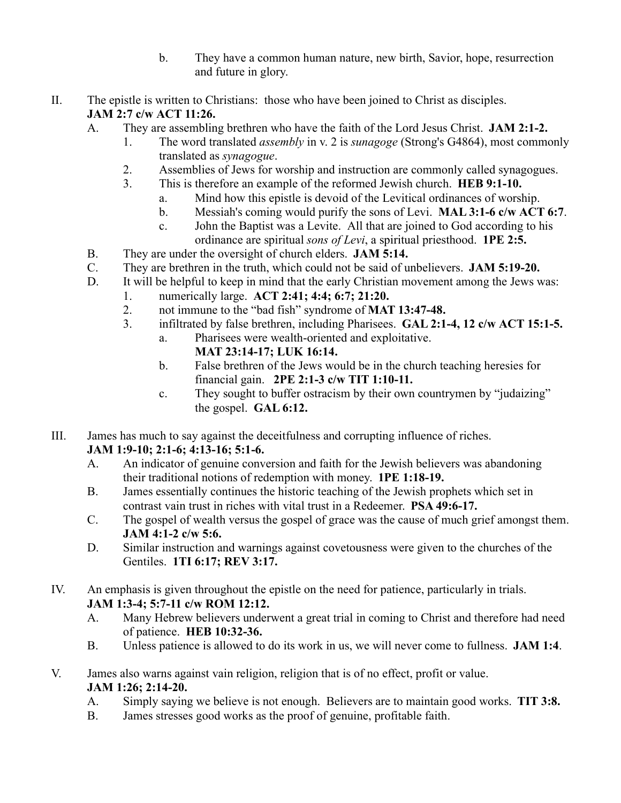- b. They have a common human nature, new birth, Savior, hope, resurrection and future in glory.
- II. The epistle is written to Christians: those who have been joined to Christ as disciples. **JAM 2:7 c/w ACT 11:26.** 
	- A. They are assembling brethren who have the faith of the Lord Jesus Christ. **JAM 2:1-2.**
		- 1. The word translated *assembly* in v. 2 is *sunagoge* (Strong's G4864), most commonly translated as *synagogue*.
		- 2. Assemblies of Jews for worship and instruction are commonly called synagogues.
		- 3. This is therefore an example of the reformed Jewish church. **HEB 9:1-10.**
			- a. Mind how this epistle is devoid of the Levitical ordinances of worship.
			- b. Messiah's coming would purify the sons of Levi. **MAL 3:1-6 c/w ACT 6:7**.
			- c. John the Baptist was a Levite. All that are joined to God according to his ordinance are spiritual *sons of Levi*, a spiritual priesthood. **1PE 2:5.**
	- B. They are under the oversight of church elders. **JAM 5:14.**
	- C. They are brethren in the truth, which could not be said of unbelievers. **JAM 5:19-20.**
	- D. It will be helpful to keep in mind that the early Christian movement among the Jews was:
		- 1. numerically large. **ACT 2:41; 4:4; 6:7; 21:20.**
			- 2. not immune to the "bad fish" syndrome of **MAT 13:47-48.**
			- 3. infiltrated by false brethren, including Pharisees. **GAL 2:1-4, 12 c/w ACT 15:1-5.**
				- a. Pharisees were wealth-oriented and exploitative.
					- **MAT 23:14-17; LUK 16:14.**
				- b. False brethren of the Jews would be in the church teaching heresies for financial gain. **2PE 2:1-3 c/w TIT 1:10-11.**
				- c. They sought to buffer ostracism by their own countrymen by "judaizing" the gospel. **GAL 6:12.**
- III. James has much to say against the deceitfulness and corrupting influence of riches.

## **JAM 1:9-10; 2:1-6; 4:13-16; 5:1-6.**

- A. An indicator of genuine conversion and faith for the Jewish believers was abandoning their traditional notions of redemption with money. **1PE 1:18-19.**
- B. James essentially continues the historic teaching of the Jewish prophets which set in contrast vain trust in riches with vital trust in a Redeemer. **PSA 49:6-17.**
- C. The gospel of wealth versus the gospel of grace was the cause of much grief amongst them. **JAM 4:1-2 c/w 5:6.**
- D. Similar instruction and warnings against covetousness were given to the churches of the Gentiles. **1TI 6:17; REV 3:17.**
- IV. An emphasis is given throughout the epistle on the need for patience, particularly in trials. **JAM 1:3-4; 5:7-11 c/w ROM 12:12.**
	- A. Many Hebrew believers underwent a great trial in coming to Christ and therefore had need of patience. **HEB 10:32-36.**
	- B. Unless patience is allowed to do its work in us, we will never come to fullness. **JAM 1:4**.
- V. James also warns against vain religion, religion that is of no effect, profit or value. **JAM 1:26; 2:14-20.**
	- A. Simply saying we believe is not enough. Believers are to maintain good works. **TIT 3:8.**
	- B. James stresses good works as the proof of genuine, profitable faith.